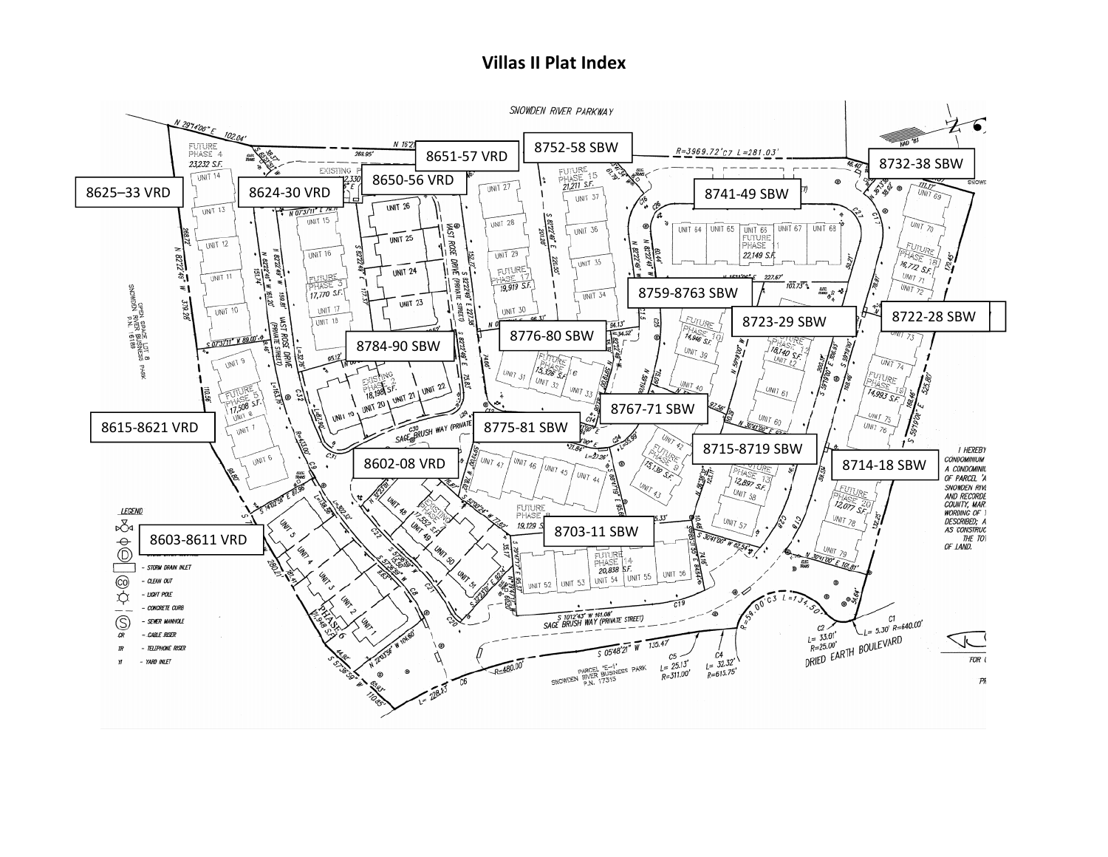## **Villas II Plat Index**